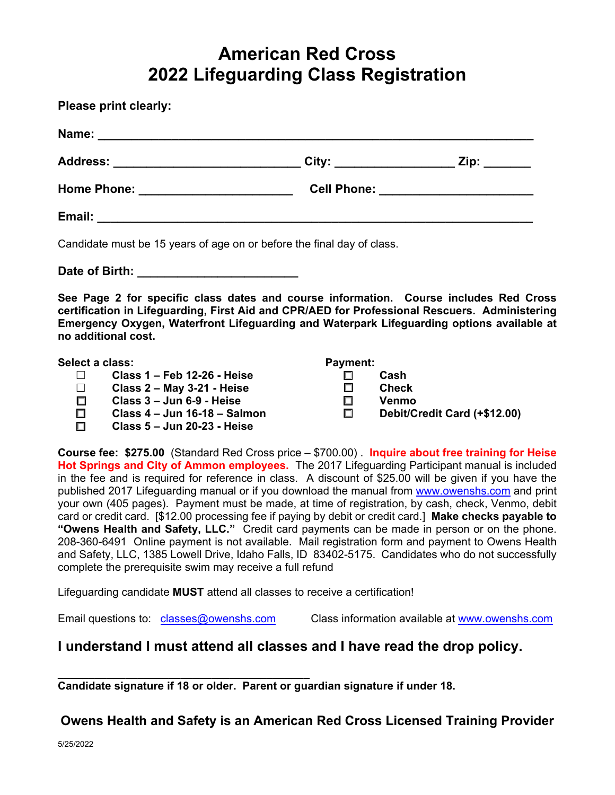## **American Red Cross 2022 Lifeguarding Class Registration**

| <b>Please print clearly:</b>                                                                                                                                                                                                                                                                               |                                                                                  |              |
|------------------------------------------------------------------------------------------------------------------------------------------------------------------------------------------------------------------------------------------------------------------------------------------------------------|----------------------------------------------------------------------------------|--------------|
|                                                                                                                                                                                                                                                                                                            |                                                                                  |              |
| Address: ______________________________City: _____________________Zip: _________                                                                                                                                                                                                                           |                                                                                  |              |
|                                                                                                                                                                                                                                                                                                            | Home Phone: __________________________________Cell Phone: ______________________ |              |
|                                                                                                                                                                                                                                                                                                            |                                                                                  |              |
| Candidate must be 15 years of age on or before the final day of class.                                                                                                                                                                                                                                     |                                                                                  |              |
|                                                                                                                                                                                                                                                                                                            |                                                                                  |              |
| See Page 2 for specific class dates and course information. Course includes Red Cross<br>certification in Lifeguarding, First Aid and CPR/AED for Professional Rescuers. Administering<br>Emergency Oxygen, Waterfront Lifeguarding and Waterpark Lifeguarding options available at<br>no additional cost. |                                                                                  |              |
| Select a class:                                                                                                                                                                                                                                                                                            | Payment:                                                                         |              |
| $\Box$ Class 1 – Feb 12-26 - Heise                                                                                                                                                                                                                                                                         |                                                                                  | Cash         |
| $\Box$ Class 2 – May 3-21 - Heise                                                                                                                                                                                                                                                                          | $\Box$                                                                           | <b>Check</b> |
| Class 3 - Jun 6-9 - Heise<br>$\Box$                                                                                                                                                                                                                                                                        | $\Box$                                                                           | Venmo        |

- **Class 4 Jun 16-18 Salmon**
- **Class 5 Jun 20-23 Heise**
- **Venmo**
- **Debit/Credit Card (+\$12.00)**

**Course fee: \$275.00** (Standard Red Cross price – \$700.00) . **Inquire about free training for Heise Hot Springs and City of Ammon employees.** The 2017 Lifeguarding Participant manual is included in the fee and is required for reference in class. A discount of \$25.00 will be given if you have the published 2017 Lifeguarding manual or if you download the manual from www.owenshs.com and print your own (405 pages). Payment must be made, at time of registration, by cash, check, Venmo, debit card or credit card. [\$12.00 processing fee if paying by debit or credit card.] **Make checks payable to "Owens Health and Safety, LLC."** Credit card payments can be made in person or on the phone. 208-360-6491 Online payment is not available. Mail registration form and payment to Owens Health and Safety, LLC, 1385 Lowell Drive, Idaho Falls, ID 83402-5175. Candidates who do not successfully complete the prerequisite swim may receive a full refund

Lifeguarding candidate **MUST** attend all classes to receive a certification!

Email questions to: classes@owenshs.com Class information available at www.owenshs.com

## **I understand I must attend all classes and I have read the drop policy.**

**\_\_\_\_\_\_\_\_\_\_\_\_\_\_\_\_\_\_\_\_\_\_\_\_\_\_\_\_\_\_\_\_\_\_\_\_\_\_\_\_\_ Candidate signature if 18 or older. Parent or guardian signature if under 18.** 

**Owens Health and Safety is an American Red Cross Licensed Training Provider**